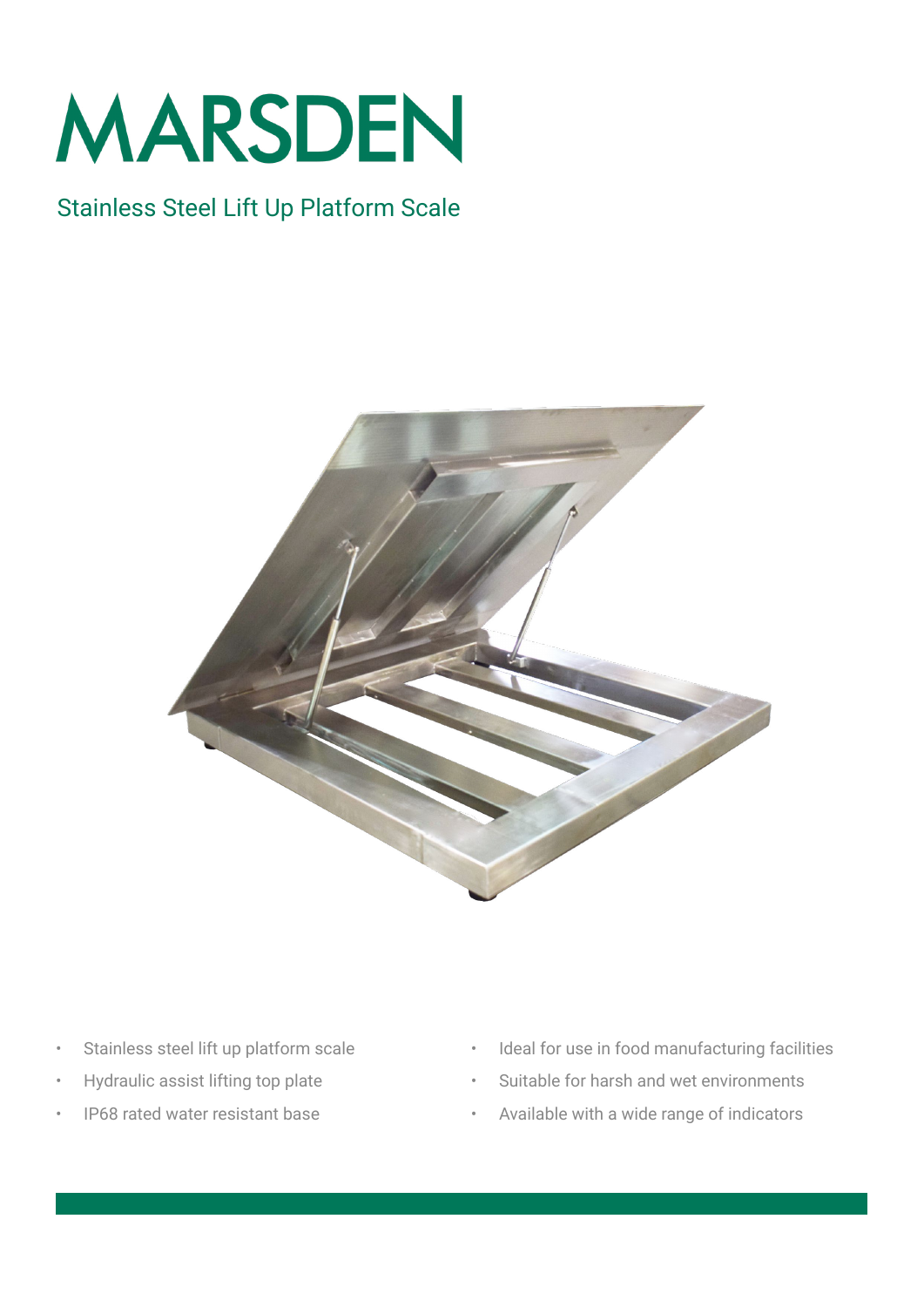

## Stainless Steel Lift Up Platform Scale



- Stainless steel lift up platform scale
- Hydraulic assist lifting top plate
- IP68 rated water resistant base
- Ideal for use in food manufacturing facilities
- Suitable for harsh and wet environments
- Available with a wide range of indicators